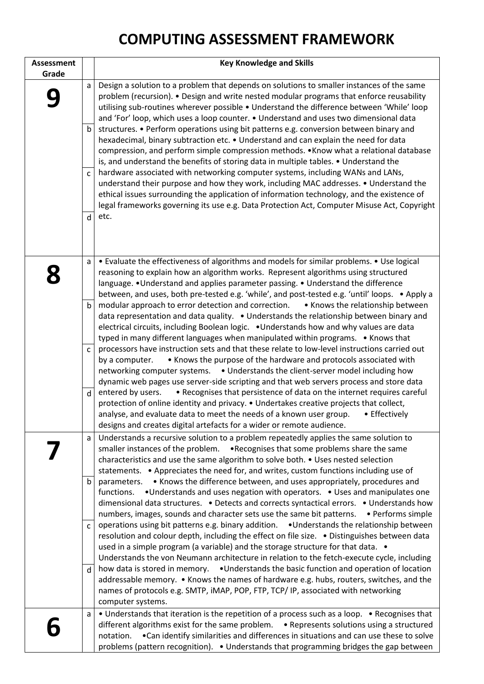## **COMPUTING ASSESSMENT FRAMEWORK**

| <b>Assessment</b> |                             | <b>Key Knowledge and Skills</b>                                                                                                                                                                                                                                                                                                                                                                                                                                                                                                                                                                                                                                                                                                                                                                                                                                                                                                                                                                                                                                                                                                |
|-------------------|-----------------------------|--------------------------------------------------------------------------------------------------------------------------------------------------------------------------------------------------------------------------------------------------------------------------------------------------------------------------------------------------------------------------------------------------------------------------------------------------------------------------------------------------------------------------------------------------------------------------------------------------------------------------------------------------------------------------------------------------------------------------------------------------------------------------------------------------------------------------------------------------------------------------------------------------------------------------------------------------------------------------------------------------------------------------------------------------------------------------------------------------------------------------------|
| Grade             |                             |                                                                                                                                                                                                                                                                                                                                                                                                                                                                                                                                                                                                                                                                                                                                                                                                                                                                                                                                                                                                                                                                                                                                |
|                   | a<br>b<br>$\mathsf{C}$<br>d | Design a solution to a problem that depends on solutions to smaller instances of the same<br>problem (recursion). • Design and write nested modular programs that enforce reusability<br>utilising sub-routines wherever possible . Understand the difference between 'While' loop<br>and 'For' loop, which uses a loop counter. . Understand and uses two dimensional data<br>structures. • Perform operations using bit patterns e.g. conversion between binary and<br>hexadecimal, binary subtraction etc. • Understand and can explain the need for data<br>compression, and perform simple compression methods. . Know what a relational database<br>is, and understand the benefits of storing data in multiple tables. • Understand the<br>hardware associated with networking computer systems, including WANs and LANs,<br>understand their purpose and how they work, including MAC addresses. • Understand the<br>ethical issues surrounding the application of information technology, and the existence of<br>legal frameworks governing its use e.g. Data Protection Act, Computer Misuse Act, Copyright<br>etc. |
|                   | a                           | • Evaluate the effectiveness of algorithms and models for similar problems. • Use logical<br>reasoning to explain how an algorithm works. Represent algorithms using structured<br>language. . Understand and applies parameter passing. . Understand the difference<br>between, and uses, both pre-tested e.g. 'while', and post-tested e.g. 'until' loops. . Apply a                                                                                                                                                                                                                                                                                                                                                                                                                                                                                                                                                                                                                                                                                                                                                         |
|                   | $\mathbf b$                 | modular approach to error detection and correction.<br>• Knows the relationship between<br>data representation and data quality. • Understands the relationship between binary and<br>electrical circuits, including Boolean logic. . Understands how and why values are data<br>typed in many different languages when manipulated within programs. • Knows that                                                                                                                                                                                                                                                                                                                                                                                                                                                                                                                                                                                                                                                                                                                                                              |
|                   | $\mathsf{C}$                | processors have instruction sets and that these relate to low-level instructions carried out<br>• Knows the purpose of the hardware and protocols associated with<br>by a computer.<br>networking computer systems. • Understands the client-server model including how<br>dynamic web pages use server-side scripting and that web servers process and store data                                                                                                                                                                                                                                                                                                                                                                                                                                                                                                                                                                                                                                                                                                                                                             |
|                   | d                           | • Recognises that persistence of data on the internet requires careful<br>entered by users.<br>protection of online identity and privacy. • Undertakes creative projects that collect,<br>analyse, and evaluate data to meet the needs of a known user group.<br>• Effectively<br>designs and creates digital artefacts for a wider or remote audience.                                                                                                                                                                                                                                                                                                                                                                                                                                                                                                                                                                                                                                                                                                                                                                        |
|                   | a                           | Understands a recursive solution to a problem repeatedly applies the same solution to<br>smaller instances of the problem. • Recognises that some problems share the same<br>characteristics and use the same algorithm to solve both. • Uses nested selection<br>statements. • Appreciates the need for, and writes, custom functions including use of                                                                                                                                                                                                                                                                                                                                                                                                                                                                                                                                                                                                                                                                                                                                                                        |
|                   | b                           | parameters. • Knows the difference between, and uses appropriately, procedures and<br>•Understands and uses negation with operators. • Uses and manipulates one<br>functions.<br>dimensional data structures. • Detects and corrects syntactical errors. • Understands how<br>numbers, images, sounds and character sets use the same bit patterns.<br>• Performs simple                                                                                                                                                                                                                                                                                                                                                                                                                                                                                                                                                                                                                                                                                                                                                       |
|                   | $\mathsf{C}$                | operations using bit patterns e.g. binary addition. •Understands the relationship between<br>resolution and colour depth, including the effect on file size. . Distinguishes between data<br>used in a simple program (a variable) and the storage structure for that data. •<br>Understands the von Neumann architecture in relation to the fetch-execute cycle, including                                                                                                                                                                                                                                                                                                                                                                                                                                                                                                                                                                                                                                                                                                                                                    |
|                   | d                           | $\mid$ how data is stored in memory. $\bullet$ Understands the basic function and operation of location<br>addressable memory. • Knows the names of hardware e.g. hubs, routers, switches, and the<br>names of protocols e.g. SMTP, iMAP, POP, FTP, TCP/IP, associated with networking<br>computer systems.                                                                                                                                                                                                                                                                                                                                                                                                                                                                                                                                                                                                                                                                                                                                                                                                                    |
|                   | a                           | • Understands that iteration is the repetition of a process such as a loop. • Recognises that<br>different algorithms exist for the same problem. .<br>• Represents solutions using a structured<br>. Can identify similarities and differences in situations and can use these to solve<br>notation.<br>problems (pattern recognition). • Understands that programming bridges the gap between                                                                                                                                                                                                                                                                                                                                                                                                                                                                                                                                                                                                                                                                                                                                |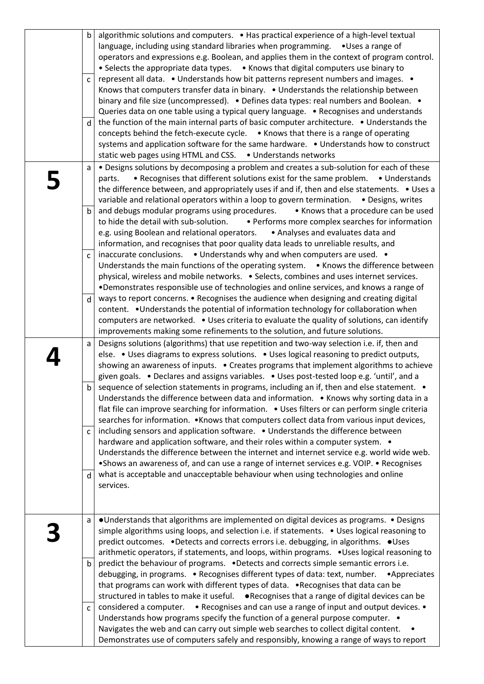| a<br>$\mathbf b$<br>$\mathsf{C}$ | • Understands that algorithms are implemented on digital devices as programs. • Designs<br>simple algorithms using loops, and selection i.e. if statements. • Uses logical reasoning to<br>predict outcomes. • Detects and corrects errors i.e. debugging, in algorithms. • Uses<br>arithmetic operators, if statements, and loops, within programs. . Uses logical reasoning to<br>predict the behaviour of programs. . Detects and corrects simple semantic errors i.e.<br>debugging, in programs. • Recognises different types of data: text, number.<br>•Appreciates<br>that programs can work with different types of data. • Recognises that data can be<br>structured in tables to make it useful. • Recognises that a range of digital devices can be<br>considered a computer. • Recognises and can use a range of input and output devices. •<br>Understands how programs specify the function of a general purpose computer. •<br>Navigates the web and can carry out simple web searches to collect digital content.<br>Demonstrates use of computers safely and responsibly, knowing a range of ways to report |
|----------------------------------|-----------------------------------------------------------------------------------------------------------------------------------------------------------------------------------------------------------------------------------------------------------------------------------------------------------------------------------------------------------------------------------------------------------------------------------------------------------------------------------------------------------------------------------------------------------------------------------------------------------------------------------------------------------------------------------------------------------------------------------------------------------------------------------------------------------------------------------------------------------------------------------------------------------------------------------------------------------------------------------------------------------------------------------------------------------------------------------------------------------------------------|
| d                                | what is acceptable and unacceptable behaviour when using technologies and online<br>services.                                                                                                                                                                                                                                                                                                                                                                                                                                                                                                                                                                                                                                                                                                                                                                                                                                                                                                                                                                                                                               |
| $\mathsf{C}$                     | including sensors and application software. . Understands the difference between<br>hardware and application software, and their roles within a computer system. •<br>Understands the difference between the internet and internet service e.g. world wide web.<br>• Shows an awareness of, and can use a range of internet services e.g. VOIP. • Recognises                                                                                                                                                                                                                                                                                                                                                                                                                                                                                                                                                                                                                                                                                                                                                                |
| b                                | sequence of selection statements in programs, including an if, then and else statement. •<br>Understands the difference between data and information. . Knows why sorting data in a<br>flat file can improve searching for information. • Uses filters or can perform single criteria<br>searches for information. . Knows that computers collect data from various input devices,                                                                                                                                                                                                                                                                                                                                                                                                                                                                                                                                                                                                                                                                                                                                          |
| a                                | Designs solutions (algorithms) that use repetition and two-way selection i.e. if, then and<br>else. • Uses diagrams to express solutions. • Uses logical reasoning to predict outputs,<br>showing an awareness of inputs. • Creates programs that implement algorithms to achieve<br>given goals. • Declares and assigns variables. • Uses post-tested loop e.g. 'until', and a                                                                                                                                                                                                                                                                                                                                                                                                                                                                                                                                                                                                                                                                                                                                             |
| d                                | ways to report concerns. • Recognises the audience when designing and creating digital<br>content. • Understands the potential of information technology for collaboration when<br>computers are networked. . Uses criteria to evaluate the quality of solutions, can identify<br>improvements making some refinements to the solution, and future solutions.                                                                                                                                                                                                                                                                                                                                                                                                                                                                                                                                                                                                                                                                                                                                                               |
| $\mathsf{C}$                     | inaccurate conclusions. • Understands why and when computers are used. •<br>Understands the main functions of the operating system. . Knows the difference between<br>physical, wireless and mobile networks. . Selects, combines and uses internet services.<br>. Demonstrates responsible use of technologies and online services, and knows a range of                                                                                                                                                                                                                                                                                                                                                                                                                                                                                                                                                                                                                                                                                                                                                                   |
| b                                | and debugs modular programs using procedures. • Knows that a procedure can be used<br>to hide the detail with sub-solution. • Performs more complex searches for information<br>e.g. using Boolean and relational operators. • Analyses and evaluates data and<br>information, and recognises that poor quality data leads to unreliable results, and                                                                                                                                                                                                                                                                                                                                                                                                                                                                                                                                                                                                                                                                                                                                                                       |
| a                                | . Designs solutions by decomposing a problem and creates a sub-solution for each of these<br>• Recognises that different solutions exist for the same problem. • Understands<br>parts.<br>the difference between, and appropriately uses if and if, then and else statements. . Uses a<br>variable and relational operators within a loop to govern termination. . Designs, writes                                                                                                                                                                                                                                                                                                                                                                                                                                                                                                                                                                                                                                                                                                                                          |
|                                  | concepts behind the fetch-execute cycle. • Knows that there is a range of operating<br>systems and application software for the same hardware. . Understands how to construct<br>static web pages using HTML and CSS. . Understands networks                                                                                                                                                                                                                                                                                                                                                                                                                                                                                                                                                                                                                                                                                                                                                                                                                                                                                |
| d                                | Knows that computers transfer data in binary. • Understands the relationship between<br>binary and file size (uncompressed). • Defines data types: real numbers and Boolean. •<br>Queries data on one table using a typical query language. . Recognises and understands<br>the function of the main internal parts of basic computer architecture. • Understands the                                                                                                                                                                                                                                                                                                                                                                                                                                                                                                                                                                                                                                                                                                                                                       |
| $\mathsf{C}$                     | operators and expressions e.g. Boolean, and applies them in the context of program control.<br>• Selects the appropriate data types. • Knows that digital computers use binary to<br>represent all data. • Understands how bit patterns represent numbers and images. •                                                                                                                                                                                                                                                                                                                                                                                                                                                                                                                                                                                                                                                                                                                                                                                                                                                     |
| $\mathsf b$                      | algorithmic solutions and computers. • Has practical experience of a high-level textual<br>language, including using standard libraries when programming. . Uses a range of                                                                                                                                                                                                                                                                                                                                                                                                                                                                                                                                                                                                                                                                                                                                                                                                                                                                                                                                                 |